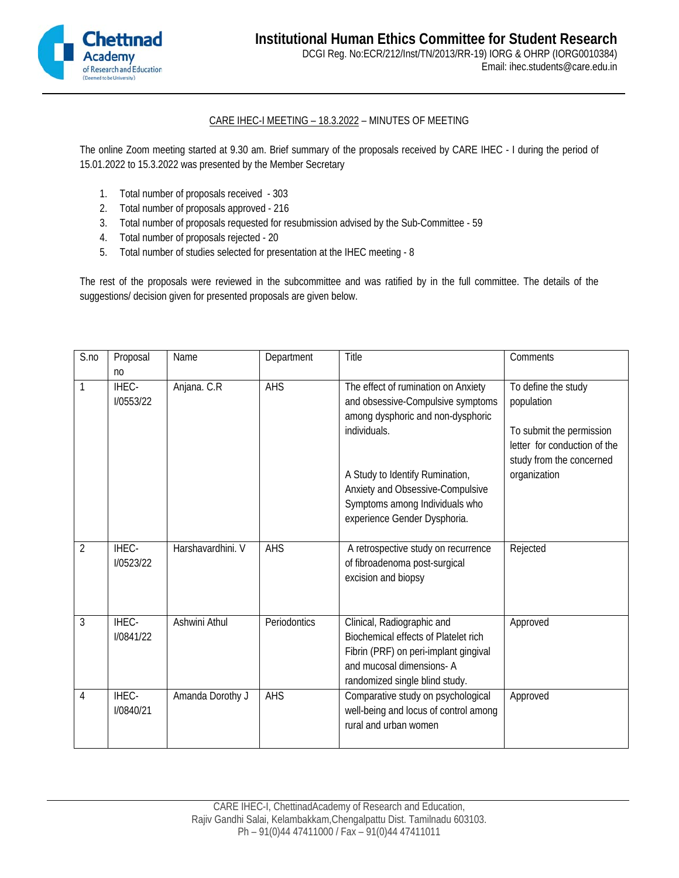

## CARE IHEC-I MEETING – 18.3.2022 – MINUTES OF MEETING

The online Zoom meeting started at 9.30 am. Brief summary of the proposals received by CARE IHEC - I during the period of 15.01.2022 to 15.3.2022 was presented by the Member Secretary

- 1. Total number of proposals received 303
- 2. Total number of proposals approved 216
- 3. Total number of proposals requested for resubmission advised by the Sub-Committee 59
- 4. Total number of proposals rejected 20
- 5. Total number of studies selected for presentation at the IHEC meeting 8

The rest of the proposals were reviewed in the subcommittee and was ratified by in the full committee. The details of the suggestions/ decision given for presented proposals are given below.

| S.no | Proposal                             | Name              | Department   | Title                                                                                                                                                                                                                                                                  | Comments                                                                                                                                  |
|------|--------------------------------------|-------------------|--------------|------------------------------------------------------------------------------------------------------------------------------------------------------------------------------------------------------------------------------------------------------------------------|-------------------------------------------------------------------------------------------------------------------------------------------|
| 1    | n <sub>0</sub><br>IHEC-<br>I/0553/22 | Anjana. C.R       | AHS          | The effect of rumination on Anxiety<br>and obsessive-Compulsive symptoms<br>among dysphoric and non-dysphoric<br>individuals.<br>A Study to Identify Rumination,<br>Anxiety and Obsessive-Compulsive<br>Symptoms among Individuals who<br>experience Gender Dysphoria. | To define the study<br>population<br>To submit the permission<br>letter for conduction of the<br>study from the concerned<br>organization |
| 2    | IHEC-<br><b>I/0523/22</b>            | Harshavardhini. V | AHS          | A retrospective study on recurrence<br>of fibroadenoma post-surgical<br>excision and biopsy                                                                                                                                                                            | Rejected                                                                                                                                  |
| 3    | IHEC-<br><b>I/0841/22</b>            | Ashwini Athul     | Periodontics | Clinical, Radiographic and<br><b>Biochemical effects of Platelet rich</b><br>Fibrin (PRF) on peri-implant gingival<br>and mucosal dimensions-A<br>randomized single blind study.                                                                                       | Approved                                                                                                                                  |
| 4    | IHEC-<br><b>I/0840/21</b>            | Amanda Dorothy J  | AHS          | Comparative study on psychological<br>well-being and locus of control among<br>rural and urban women                                                                                                                                                                   | Approved                                                                                                                                  |